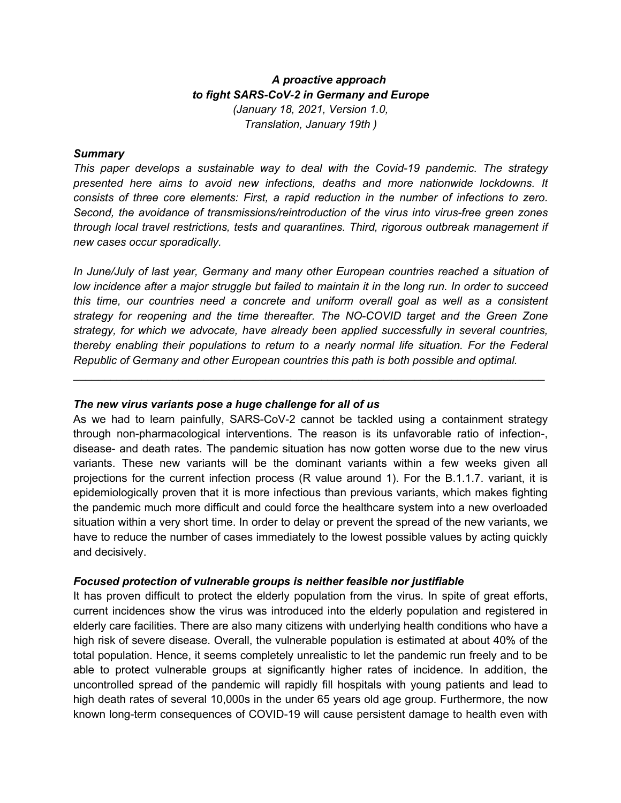# *A proactive approach to fight SARS-CoV-2 in Germany and Europe (January 18, 2021, Version 1.0, Translation, January 19th )*

#### *Summary*

*This paper develops a sustainable way to deal with the Covid-19 pandemic. The strategy presented here aims to avoid new infections, deaths and more nationwide lockdowns. It consists of three core elements: First, a rapid reduction in the number of infections to zero. Second, the avoidance of transmissions/reintroduction of the virus into virus-free green zones through local travel restrictions, tests and quarantines. Third, rigorous outbreak management if new cases occur sporadically.*

*In June/July of last year, Germany and many other European countries reached a situation of low incidence after a major struggle but failed to maintain it in the long run. In order to succeed this time, our countries need a concrete and uniform overall goal as well as a consistent strategy for reopening and the time thereafter. The NO-COVID target and the Green Zone strategy, for which we advocate, have already been applied successfully in several countries, thereby enabling their populations to return to a nearly normal life situation. For the Federal Republic of Germany and other European countries this path is both possible and optimal.*

 $\_$ 

### *The new virus variants pose a huge challenge for all of us*

As we had to learn painfully, SARS-CoV-2 cannot be tackled using a containment strategy through non-pharmacological interventions. The reason is its unfavorable ratio of infection-, disease- and death rates. The pandemic situation has now gotten worse due to the new virus variants. These new variants will be the dominant variants within a few weeks given all projections for the current infection process (R value around 1). For the B.1.1.7. variant, it is epidemiologically proven that it is more infectious than previous variants, which makes fighting the pandemic much more difficult and could force the healthcare system into a new overloaded situation within a very short time. In order to delay or prevent the spread of the new variants, we have to reduce the number of cases immediately to the lowest possible values by acting quickly and decisively.

#### *Focused protection of vulnerable groups is neither feasible nor justifiable*

It has proven difficult to protect the elderly population from the virus. In spite of great efforts, current incidences show the virus was introduced into the elderly population and registered in elderly care facilities. There are also many citizens with underlying health conditions who have a high risk of severe disease. Overall, the vulnerable population is estimated at about 40% of the total population. Hence, it seems completely unrealistic to let the pandemic run freely and to be able to protect vulnerable groups at significantly higher rates of incidence. In addition, the uncontrolled spread of the pandemic will rapidly fill hospitals with young patients and lead to high death rates of several 10,000s in the under 65 years old age group. Furthermore, the now known long-term consequences of COVID-19 will cause persistent damage to health even with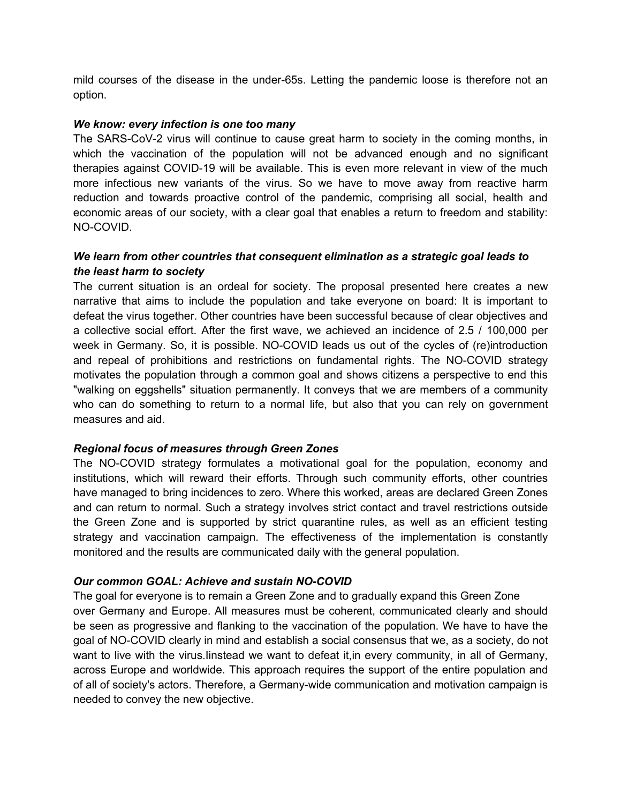mild courses of the disease in the under-65s. Letting the pandemic loose is therefore not an option.

### *We know: every infection is one too many*

The SARS-CoV-2 virus will continue to cause great harm to society in the coming months, in which the vaccination of the population will not be advanced enough and no significant therapies against COVID-19 will be available. This is even more relevant in view of the much more infectious new variants of the virus. So we have to move away from reactive harm reduction and towards proactive control of the pandemic, comprising all social, health and economic areas of our society, with a clear goal that enables a return to freedom and stability: NO-COVID.

## *We learn from other countries that consequent elimination as a strategic goal leads to the least harm to society*

The current situation is an ordeal for society. The proposal presented here creates a new narrative that aims to include the population and take everyone on board: It is important to defeat the virus together. Other countries have been successful because of clear objectives and a collective social effort. After the first wave, we achieved an incidence of 2.5 / 100,000 per week in Germany. So, it is possible. NO-COVID leads us out of the cycles of (re)introduction and repeal of prohibitions and restrictions on fundamental rights. The NO-COVID strategy motivates the population through a common goal and shows citizens a perspective to end this "walking on eggshells" situation permanently. It conveys that we are members of a community who can do something to return to a normal life, but also that you can rely on government measures and aid.

## *Regional focus of measures through Green Zones*

The NO-COVID strategy formulates a motivational goal for the population, economy and institutions, which will reward their efforts. Through such community efforts, other countries have managed to bring incidences to zero. Where this worked, areas are declared Green Zones and can return to normal. Such a strategy involves strict contact and travel restrictions outside the Green Zone and is supported by strict quarantine rules, as well as an efficient testing strategy and vaccination campaign. The effectiveness of the implementation is constantly monitored and the results are communicated daily with the general population.

## *Our common GOAL: Achieve and sustain NO-COVID*

The goal for everyone is to remain a Green Zone and to gradually expand this Green Zone over Germany and Europe. All measures must be coherent, communicated clearly and should be seen as progressive and flanking to the vaccination of the population. We have to have the goal of NO-COVID clearly in mind and establish a social consensus that we, as a society, do not want to live with the virus.Iinstead we want to defeat it,in every community, in all of Germany, across Europe and worldwide. This approach requires the support of the entire population and of all of society's actors. Therefore, a Germany-wide communication and motivation campaign is needed to convey the new objective.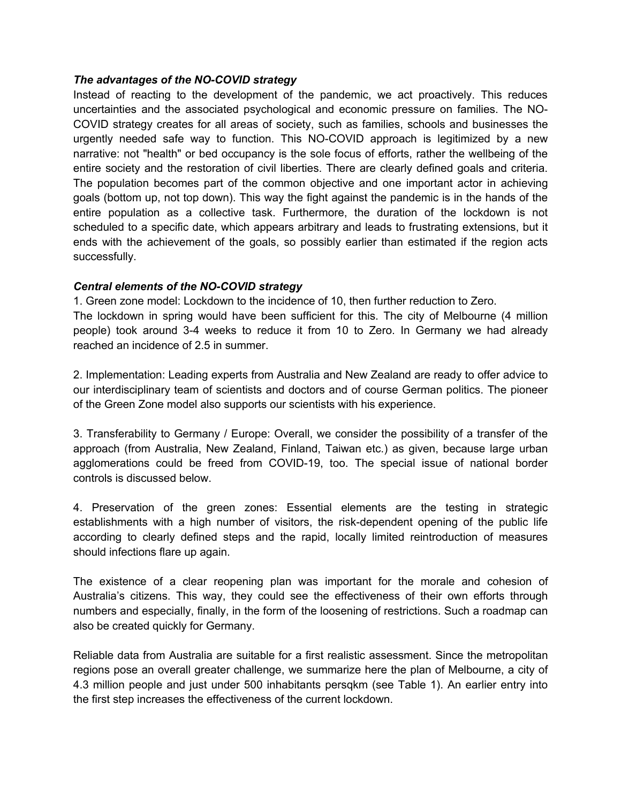### *The advantages of the NO-COVID strategy*

Instead of reacting to the development of the pandemic, we act proactively. This reduces uncertainties and the associated psychological and economic pressure on families. The NO-COVID strategy creates for all areas of society, such as families, schools and businesses the urgently needed safe way to function. This NO-COVID approach is legitimized by a new narrative: not "health" or bed occupancy is the sole focus of efforts, rather the wellbeing of the entire society and the restoration of civil liberties. There are clearly defined goals and criteria. The population becomes part of the common objective and one important actor in achieving goals (bottom up, not top down). This way the fight against the pandemic is in the hands of the entire population as a collective task. Furthermore, the duration of the lockdown is not scheduled to a specific date, which appears arbitrary and leads to frustrating extensions, but it ends with the achievement of the goals, so possibly earlier than estimated if the region acts successfully.

## *Central elements of the NO-COVID strategy*

1. Green zone model: Lockdown to the incidence of 10, then further reduction to Zero.

The lockdown in spring would have been sufficient for this. The city of Melbourne (4 million people) took around 3-4 weeks to reduce it from 10 to Zero. In Germany we had already reached an incidence of 2.5 in summer.

2. Implementation: Leading experts from Australia and New Zealand are ready to offer advice to our interdisciplinary team of scientists and doctors and of course German politics. The pioneer of the Green Zone model also supports our scientists with his experience.

3. Transferability to Germany / Europe: Overall, we consider the possibility of a transfer of the approach (from Australia, New Zealand, Finland, Taiwan etc.) as given, because large urban agglomerations could be freed from COVID-19, too. The special issue of national border controls is discussed below.

4. Preservation of the green zones: Essential elements are the testing in strategic establishments with a high number of visitors, the risk-dependent opening of the public life according to clearly defined steps and the rapid, locally limited reintroduction of measures should infections flare up again.

The existence of a clear reopening plan was important for the morale and cohesion of Australia's citizens. This way, they could see the effectiveness of their own efforts through numbers and especially, finally, in the form of the loosening of restrictions. Such a roadmap can also be created quickly for Germany.

Reliable data from Australia are suitable for a first realistic assessment. Since the metropolitan regions pose an overall greater challenge, we summarize here the plan of Melbourne, a city of 4.3 million people and just under 500 inhabitants persqkm (see Table 1). An earlier entry into the first step increases the effectiveness of the current lockdown.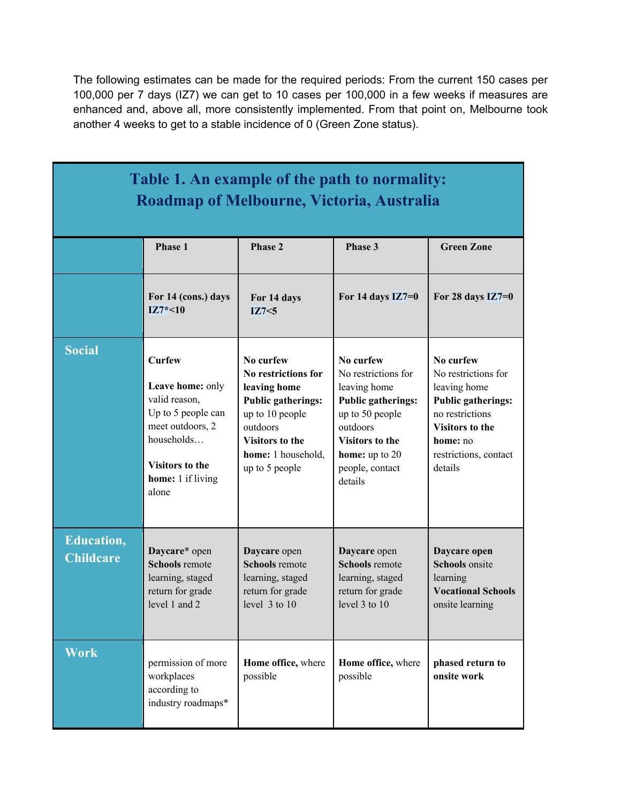The following estimates can be made for the required periods: From the current 150 cases per 100,000 per 7 days (IZ7) we can get to 10 cases per 100,000 in a few weeks if measures are enhanced and, above all, more consistently implemented. From that point on, Melbourne took another 4 weeks to get to a stable incidence of 0 (Green Zone status).

| Table 1. An example of the path to normality:<br>Roadmap of Melbourne, Victoria, Australia |                                                                                                                                                                    |                                                                                                                                                                                |                                                                                                                                                                                        |                                                                                                                                                                            |
|--------------------------------------------------------------------------------------------|--------------------------------------------------------------------------------------------------------------------------------------------------------------------|--------------------------------------------------------------------------------------------------------------------------------------------------------------------------------|----------------------------------------------------------------------------------------------------------------------------------------------------------------------------------------|----------------------------------------------------------------------------------------------------------------------------------------------------------------------------|
|                                                                                            | Phase 1                                                                                                                                                            | <b>Phase 2</b>                                                                                                                                                                 | Phase 3                                                                                                                                                                                | <b>Green Zone</b>                                                                                                                                                          |
|                                                                                            | For 14 (cons.) days<br>$IZ7*-10$                                                                                                                                   | For 14 days<br>IZ7<5                                                                                                                                                           | For 14 days $IZ7=0$                                                                                                                                                                    | For $28$ days $IZ7=0$                                                                                                                                                      |
| <b>Social</b>                                                                              | <b>Curfew</b><br>Leave home: only<br>valid reason,<br>Up to 5 people can<br>meet outdoors, 2<br>households<br><b>Visitors to the</b><br>home: 1 if living<br>alone | No curfew<br>No restrictions for<br>leaving home<br><b>Public gatherings:</b><br>up to 10 people<br>outdoors<br><b>Visitors to the</b><br>home: 1 household,<br>up to 5 people | No curfew<br>No restrictions for<br>leaving home<br><b>Public gatherings:</b><br>up to 50 people<br>outdoors<br><b>Visitors to the</b><br>home: up to 20<br>people, contact<br>details | No curfew<br>No restrictions for<br>leaving home<br><b>Public gatherings:</b><br>no restrictions<br><b>Visitors to the</b><br>home: no<br>restrictions, contact<br>details |
| <b>Education,</b><br><b>Childcare</b>                                                      | Daycare* open<br><b>Schools</b> remote<br>learning, staged<br>return for grade<br>level 1 and 2                                                                    | Daycare open<br><b>Schools</b> remote<br>learning, staged<br>return for grade<br>level $3$ to $10$                                                                             | Daycare open<br><b>Schools</b> remote<br>learning, staged<br>return for grade<br>level $3$ to $10$                                                                                     | Daycare open<br><b>Schools</b> onsite<br>learning<br><b>Vocational Schools</b><br>onsite learning                                                                          |
| <b>Work</b>                                                                                | permission of more<br>workplaces<br>according to<br>industry roadmaps*                                                                                             | Home office, where<br>possible                                                                                                                                                 | Home office, where<br>possible                                                                                                                                                         | phased return to<br>onsite work                                                                                                                                            |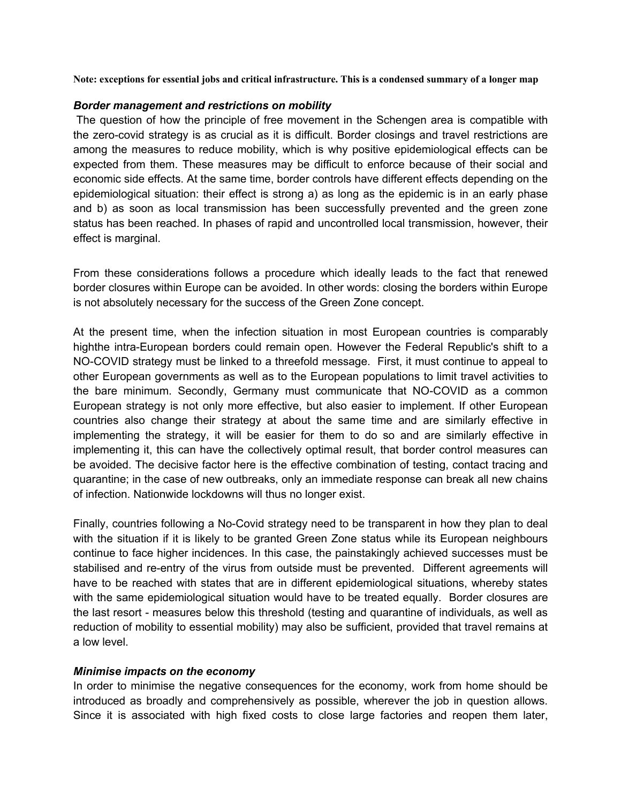**Note: exceptions for essential jobs and critical infrastructure. This is a condensed summary of a longer map** 

#### *Border management and restrictions on mobility*

The question of how the principle of free movement in the Schengen area is compatible with the zero-covid strategy is as crucial as it is difficult. Border closings and travel restrictions are among the measures to reduce mobility, which is why positive epidemiological effects can be expected from them. These measures may be difficult to enforce because of their social and economic side effects. At the same time, border controls have different effects depending on the epidemiological situation: their effect is strong a) as long as the epidemic is in an early phase and b) as soon as local transmission has been successfully prevented and the green zone status has been reached. In phases of rapid and uncontrolled local transmission, however, their effect is marginal.

From these considerations follows a procedure which ideally leads to the fact that renewed border closures within Europe can be avoided. In other words: closing the borders within Europe is not absolutely necessary for the success of the Green Zone concept.

At the present time, when the infection situation in most European countries is comparably highthe intra-European borders could remain open. However the Federal Republic's shift to a NO-COVID strategy must be linked to a threefold message. First, it must continue to appeal to other European governments as well as to the European populations to limit travel activities to the bare minimum. Secondly, Germany must communicate that NO-COVID as a common European strategy is not only more effective, but also easier to implement. If other European countries also change their strategy at about the same time and are similarly effective in implementing the strategy, it will be easier for them to do so and are similarly effective in implementing it, this can have the collectively optimal result, that border control measures can be avoided. The decisive factor here is the effective combination of testing, contact tracing and quarantine; in the case of new outbreaks, only an immediate response can break all new chains of infection. Nationwide lockdowns will thus no longer exist.

Finally, countries following a No-Covid strategy need to be transparent in how they plan to deal with the situation if it is likely to be granted Green Zone status while its European neighbours continue to face higher incidences. In this case, the painstakingly achieved successes must be stabilised and re-entry of the virus from outside must be prevented. Different agreements will have to be reached with states that are in different epidemiological situations, whereby states with the same epidemiological situation would have to be treated equally. Border closures are the last resort - measures below this threshold (testing and quarantine of individuals, as well as reduction of mobility to essential mobility) may also be sufficient, provided that travel remains at a low level.

#### *Minimise impacts on the economy*

In order to minimise the negative consequences for the economy, work from home should be introduced as broadly and comprehensively as possible, wherever the job in question allows. Since it is associated with high fixed costs to close large factories and reopen them later,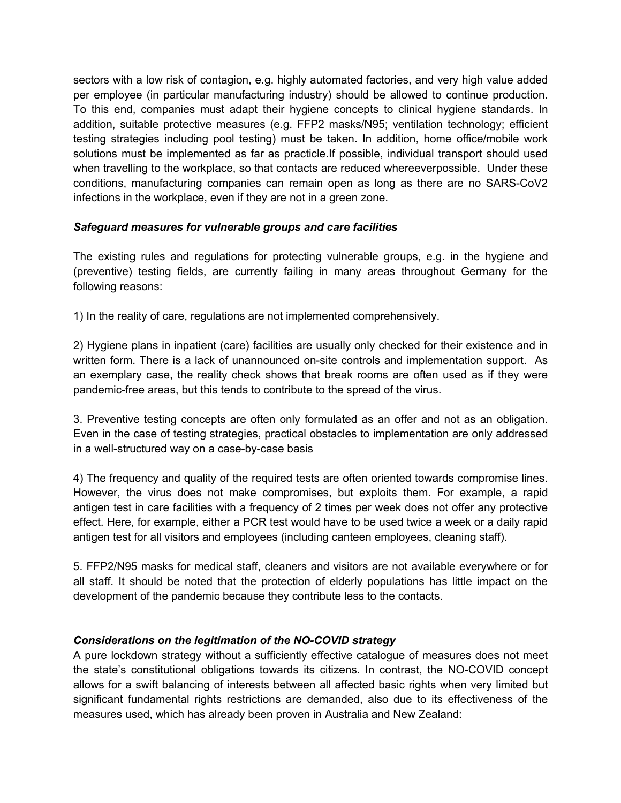sectors with a low risk of contagion, e.g. highly automated factories, and very high value added per employee (in particular manufacturing industry) should be allowed to continue production. To this end, companies must adapt their hygiene concepts to clinical hygiene standards. In addition, suitable protective measures (e.g. FFP2 masks/N95; ventilation technology; efficient testing strategies including pool testing) must be taken. In addition, home office/mobile work solutions must be implemented as far as practicle.If possible, individual transport should used when travelling to the workplace, so that contacts are reduced whereeverpossible. Under these conditions, manufacturing companies can remain open as long as there are no SARS-CoV2 infections in the workplace, even if they are not in a green zone.

## *Safeguard measures for vulnerable groups and care facilities*

The existing rules and regulations for protecting vulnerable groups, e.g. in the hygiene and (preventive) testing fields, are currently failing in many areas throughout Germany for the following reasons:

1) In the reality of care, regulations are not implemented comprehensively.

2) Hygiene plans in inpatient (care) facilities are usually only checked for their existence and in written form. There is a lack of unannounced on-site controls and implementation support. As an exemplary case, the reality check shows that break rooms are often used as if they were pandemic-free areas, but this tends to contribute to the spread of the virus.

3. Preventive testing concepts are often only formulated as an offer and not as an obligation. Even in the case of testing strategies, practical obstacles to implementation are only addressed in a well-structured way on a case-by-case basis

4) The frequency and quality of the required tests are often oriented towards compromise lines. However, the virus does not make compromises, but exploits them. For example, a rapid antigen test in care facilities with a frequency of 2 times per week does not offer any protective effect. Here, for example, either a PCR test would have to be used twice a week or a daily rapid antigen test for all visitors and employees (including canteen employees, cleaning staff).

5. FFP2/N95 masks for medical staff, cleaners and visitors are not available everywhere or for all staff. It should be noted that the protection of elderly populations has little impact on the development of the pandemic because they contribute less to the contacts.

# *Considerations on the legitimation of the NO-COVID strategy*

A pure lockdown strategy without a sufficiently effective catalogue of measures does not meet the state's constitutional obligations towards its citizens. In contrast, the NO-COVID concept allows for a swift balancing of interests between all affected basic rights when very limited but significant fundamental rights restrictions are demanded, also due to its effectiveness of the measures used, which has already been proven in Australia and New Zealand: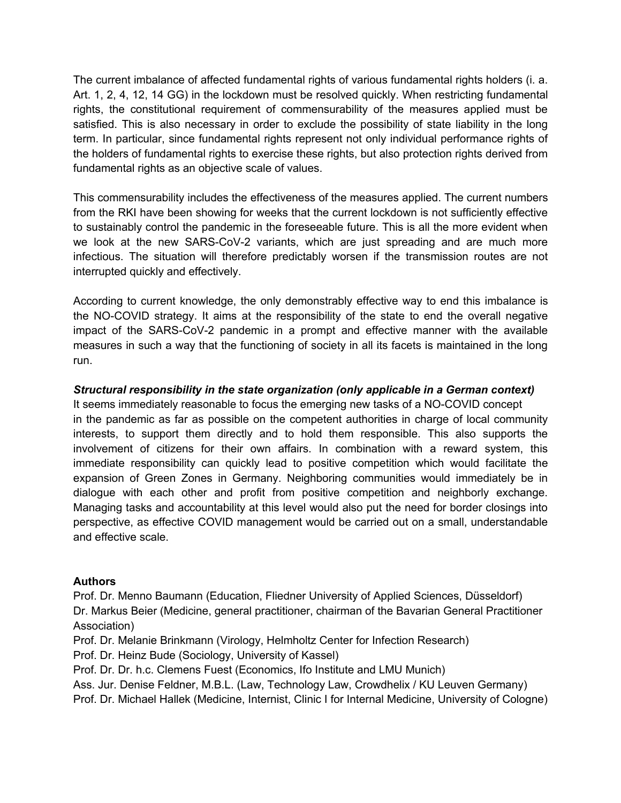The current imbalance of affected fundamental rights of various fundamental rights holders (i. a. Art. 1, 2, 4, 12, 14 GG) in the lockdown must be resolved quickly. When restricting fundamental rights, the constitutional requirement of commensurability of the measures applied must be satisfied. This is also necessary in order to exclude the possibility of state liability in the long term. In particular, since fundamental rights represent not only individual performance rights of the holders of fundamental rights to exercise these rights, but also protection rights derived from fundamental rights as an objective scale of values.

This commensurability includes the effectiveness of the measures applied. The current numbers from the RKI have been showing for weeks that the current lockdown is not sufficiently effective to sustainably control the pandemic in the foreseeable future. This is all the more evident when we look at the new SARS-CoV-2 variants, which are just spreading and are much more infectious. The situation will therefore predictably worsen if the transmission routes are not interrupted quickly and effectively.

According to current knowledge, the only demonstrably effective way to end this imbalance is the NO-COVID strategy. It aims at the responsibility of the state to end the overall negative impact of the SARS-CoV-2 pandemic in a prompt and effective manner with the available measures in such a way that the functioning of society in all its facets is maintained in the long run.

## *Structural responsibility in the state organization (only applicable in a German context)*

It seems immediately reasonable to focus the emerging new tasks of a NO-COVID concept in the pandemic as far as possible on the competent authorities in charge of local community interests, to support them directly and to hold them responsible. This also supports the involvement of citizens for their own affairs. In combination with a reward system, this immediate responsibility can quickly lead to positive competition which would facilitate the expansion of Green Zones in Germany. Neighboring communities would immediately be in dialogue with each other and profit from positive competition and neighborly exchange. Managing tasks and accountability at this level would also put the need for border closings into perspective, as effective COVID management would be carried out on a small, understandable and effective scale.

## **Authors**

Prof. Dr. Menno Baumann (Education, Fliedner University of Applied Sciences, Düsseldorf) Dr. Markus Beier (Medicine, general practitioner, chairman of the Bavarian General Practitioner Association)

Prof. Dr. Melanie Brinkmann (Virology, Helmholtz Center for Infection Research)

Prof. Dr. Heinz Bude (Sociology, University of Kassel)

Prof. Dr. Dr. h.c. Clemens Fuest (Economics, Ifo Institute and LMU Munich)

Ass. Jur. Denise Feldner, M.B.L. (Law, Technology Law, Crowdhelix / KU Leuven Germany)

Prof. Dr. Michael Hallek (Medicine, Internist, Clinic I for Internal Medicine, University of Cologne)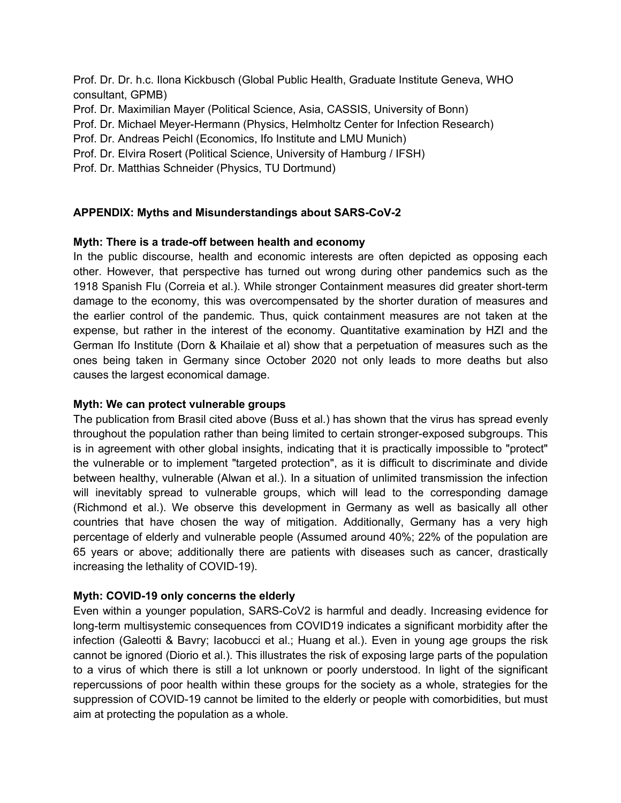Prof. Dr. Dr. h.c. Ilona Kickbusch (Global Public Health, Graduate Institute Geneva, WHO consultant, GPMB)

Prof. Dr. Maximilian Mayer (Political Science, Asia, CASSIS, University of Bonn)

Prof. Dr. Michael Meyer-Hermann (Physics, Helmholtz Center for Infection Research)

- Prof. Dr. Andreas Peichl (Economics, Ifo Institute and LMU Munich)
- Prof. Dr. Elvira Rosert (Political Science, University of Hamburg / IFSH)
- Prof. Dr. Matthias Schneider (Physics, TU Dortmund)

## **APPENDIX: Myths and Misunderstandings about SARS-CoV-2**

## **Myth: There is a trade-off between health and economy**

In the public discourse, health and economic interests are often depicted as opposing each other. However, that perspective has turned out wrong during other pandemics such as the 1918 Spanish Flu (Correia et al.). While stronger Containment measures did greater short-term damage to the economy, this was overcompensated by the shorter duration of measures and the earlier control of the pandemic. Thus, quick containment measures are not taken at the expense, but rather in the interest of the economy. Quantitative examination by HZI and the German Ifo Institute (Dorn & Khailaie et al) show that a perpetuation of measures such as the ones being taken in Germany since October 2020 not only leads to more deaths but also causes the largest economical damage.

## **Myth: We can protect vulnerable groups**

The publication from Brasil cited above (Buss et al.) has shown that the virus has spread evenly throughout the population rather than being limited to certain stronger-exposed subgroups. This is in agreement with other global insights, indicating that it is practically impossible to "protect" the vulnerable or to implement "targeted protection", as it is difficult to discriminate and divide between healthy, vulnerable (Alwan et al.). In a situation of unlimited transmission the infection will inevitably spread to vulnerable groups, which will lead to the corresponding damage (Richmond et al.). We observe this development in Germany as well as basically all other countries that have chosen the way of mitigation. Additionally, Germany has a very high percentage of elderly and vulnerable people (Assumed around 40%; 22% of the population are 65 years or above; additionally there are patients with diseases such as cancer, drastically increasing the lethality of COVID-19).

## **Myth: COVID-19 only concerns the elderly**

Even within a younger population, SARS-CoV2 is harmful and deadly. Increasing evidence for long-term multisystemic consequences from COVID19 indicates a significant morbidity after the infection (Galeotti & Bavry; Iacobucci et al.; Huang et al.). Even in young age groups the risk cannot be ignored (Diorio et al.). This illustrates the risk of exposing large parts of the population to a virus of which there is still a lot unknown or poorly understood. In light of the significant repercussions of poor health within these groups for the society as a whole, strategies for the suppression of COVID-19 cannot be limited to the elderly or people with comorbidities, but must aim at protecting the population as a whole.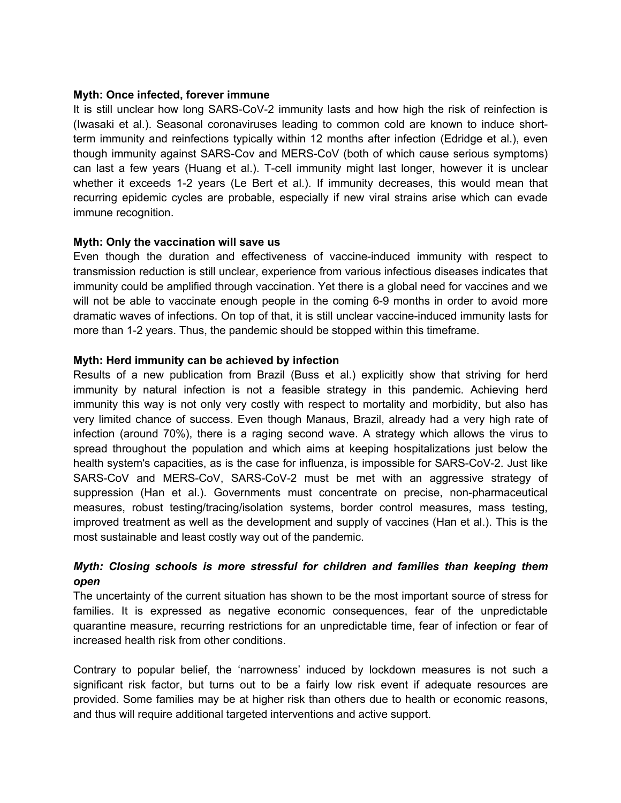### **Myth: Once infected, forever immune**

It is still unclear how long SARS-CoV-2 immunity lasts and how high the risk of reinfection is (Iwasaki et al.). Seasonal coronaviruses leading to common cold are known to induce shortterm immunity and reinfections typically within 12 months after infection (Edridge et al.), even though immunity against SARS-Cov and MERS-CoV (both of which cause serious symptoms) can last a few years (Huang et al.). T-cell immunity might last longer, however it is unclear whether it exceeds 1-2 years (Le Bert et al.). If immunity decreases, this would mean that recurring epidemic cycles are probable, especially if new viral strains arise which can evade immune recognition.

### **Myth: Only the vaccination will save us**

Even though the duration and effectiveness of vaccine-induced immunity with respect to transmission reduction is still unclear, experience from various infectious diseases indicates that immunity could be amplified through vaccination. Yet there is a global need for vaccines and we will not be able to vaccinate enough people in the coming 6-9 months in order to avoid more dramatic waves of infections. On top of that, it is still unclear vaccine-induced immunity lasts for more than 1-2 years. Thus, the pandemic should be stopped within this timeframe.

## **Myth: Herd immunity can be achieved by infection**

Results of a new publication from Brazil (Buss et al.) explicitly show that striving for herd immunity by natural infection is not a feasible strategy in this pandemic. Achieving herd immunity this way is not only very costly with respect to mortality and morbidity, but also has very limited chance of success. Even though Manaus, Brazil, already had a very high rate of infection (around 70%), there is a raging second wave. A strategy which allows the virus to spread throughout the population and which aims at keeping hospitalizations just below the health system's capacities, as is the case for influenza, is impossible for SARS-CoV-2. Just like SARS-CoV and MERS-CoV, SARS-CoV-2 must be met with an aggressive strategy of suppression (Han et al.). Governments must concentrate on precise, non-pharmaceutical measures, robust testing/tracing/isolation systems, border control measures, mass testing, improved treatment as well as the development and supply of vaccines (Han et al.). This is the most sustainable and least costly way out of the pandemic.

# *Myth: Closing schools is more stressful for children and families than keeping them open*

The uncertainty of the current situation has shown to be the most important source of stress for families. It is expressed as negative economic consequences, fear of the unpredictable quarantine measure, recurring restrictions for an unpredictable time, fear of infection or fear of increased health risk from other conditions.

Contrary to popular belief, the 'narrowness' induced by lockdown measures is not such a significant risk factor, but turns out to be a fairly low risk event if adequate resources are provided. Some families may be at higher risk than others due to health or economic reasons, and thus will require additional targeted interventions and active support.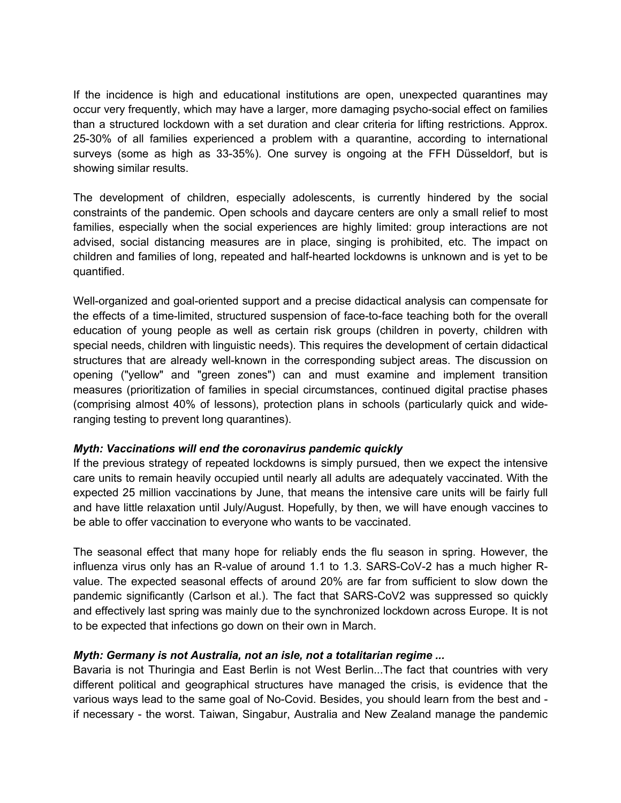If the incidence is high and educational institutions are open, unexpected quarantines may occur very frequently, which may have a larger, more damaging psycho-social effect on families than a structured lockdown with a set duration and clear criteria for lifting restrictions. Approx. 25-30% of all families experienced a problem with a quarantine, according to international surveys (some as high as 33-35%). One survey is ongoing at the FFH Düsseldorf, but is showing similar results.

The development of children, especially adolescents, is currently hindered by the social constraints of the pandemic. Open schools and daycare centers are only a small relief to most families, especially when the social experiences are highly limited: group interactions are not advised, social distancing measures are in place, singing is prohibited, etc. The impact on children and families of long, repeated and half-hearted lockdowns is unknown and is yet to be quantified.

Well-organized and goal-oriented support and a precise didactical analysis can compensate for the effects of a time-limited, structured suspension of face-to-face teaching both for the overall education of young people as well as certain risk groups (children in poverty, children with special needs, children with linguistic needs). This requires the development of certain didactical structures that are already well-known in the corresponding subject areas. The discussion on opening ("yellow" and "green zones") can and must examine and implement transition measures (prioritization of families in special circumstances, continued digital practise phases (comprising almost 40% of lessons), protection plans in schools (particularly quick and wideranging testing to prevent long quarantines).

## *Myth: Vaccinations will end the coronavirus pandemic quickly*

If the previous strategy of repeated lockdowns is simply pursued, then we expect the intensive care units to remain heavily occupied until nearly all adults are adequately vaccinated. With the expected 25 million vaccinations by June, that means the intensive care units will be fairly full and have little relaxation until July/August. Hopefully, by then, we will have enough vaccines to be able to offer vaccination to everyone who wants to be vaccinated.

The seasonal effect that many hope for reliably ends the flu season in spring. However, the influenza virus only has an R-value of around 1.1 to 1.3. SARS-CoV-2 has a much higher Rvalue. The expected seasonal effects of around 20% are far from sufficient to slow down the pandemic significantly (Carlson et al.). The fact that SARS-CoV2 was suppressed so quickly and effectively last spring was mainly due to the synchronized lockdown across Europe. It is not to be expected that infections go down on their own in March.

## *Myth: Germany is not Australia, not an isle, not a totalitarian regime ...*

Bavaria is not Thuringia and East Berlin is not West Berlin...The fact that countries with very different political and geographical structures have managed the crisis, is evidence that the various ways lead to the same goal of No-Covid. Besides, you should learn from the best and if necessary - the worst. Taiwan, Singabur, Australia and New Zealand manage the pandemic